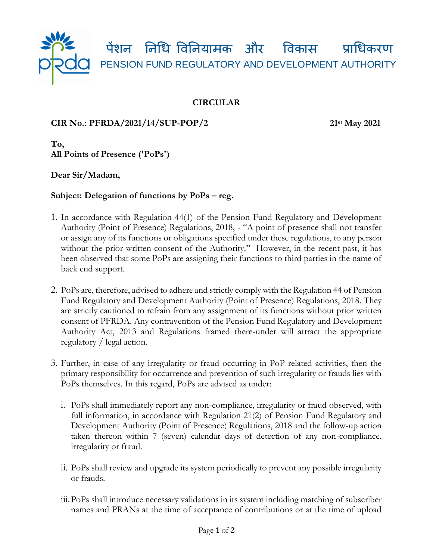

## **CIRCULAR**

## **CIR No.: PFRDA/2021/14/SUP-POP/2 21st May 2021**

**To, All Points of Presence ('PoPs')** 

**Dear Sir/Madam,**

## **Subject: Delegation of functions by PoPs – reg.**

- 1. In accordance with Regulation 44(1) of the Pension Fund Regulatory and Development Authority (Point of Presence) Regulations, 2018, - "A point of presence shall not transfer or assign any of its functions or obligations specified under these regulations, to any person without the prior written consent of the Authority." However, in the recent past, it has been observed that some PoPs are assigning their functions to third parties in the name of back end support.
- 2. PoPs are, therefore, advised to adhere and strictly comply with the Regulation 44 of Pension Fund Regulatory and Development Authority (Point of Presence) Regulations, 2018. They are strictly cautioned to refrain from any assignment of its functions without prior written consent of PFRDA. Any contravention of the Pension Fund Regulatory and Development Authority Act, 2013 and Regulations framed there-under will attract the appropriate regulatory / legal action.
- 3. Further, in case of any irregularity or fraud occurring in PoP related activities, then the primary responsibility for occurrence and prevention of such irregularity or frauds lies with PoPs themselves. In this regard, PoPs are advised as under:
	- i. PoPs shall immediately report any non-compliance, irregularity or fraud observed, with full information, in accordance with Regulation 21(2) of Pension Fund Regulatory and Development Authority (Point of Presence) Regulations, 2018 and the follow-up action taken thereon within 7 (seven) calendar days of detection of any non-compliance, irregularity or fraud.
	- ii. PoPs shall review and upgrade its system periodically to prevent any possible irregularity or frauds.
	- iii.PoPs shall introduce necessary validations in its system including matching of subscriber names and PRANs at the time of acceptance of contributions or at the time of upload